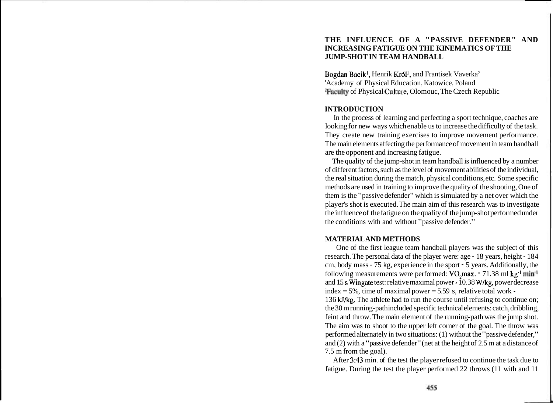# **THE INFLUENCE OF A "PASSIVE DEFENDER" AND INCREASING FATIGUE ON THE KINEMATICS OF THE JUMP-SHOT IN TEAM HANDBALL**

Bogdan Bacik<sup>1</sup>, Henrik Król<sup>1</sup>, and Frantisek Vaverka<sup>2</sup> 'Academy of Physical Education, Katowice, Poland 2Faculty of Physical Culture, Olomouc, The Czech Republic

## **INTRODUCTION**

In the process of learning and perfecting a sport technique, coaches are looking for new ways which enable us to increase the difficulty of the task. They create new training exercises to improve movement performance. The main elements affecting the performance of movement in team handball are the opponent and increasing fatigue.

The quality of the jump-shot in team handball is influenced by a number of different factors, such as the level of movement abilities of the individual, the real situation during the match, physical conditions, etc. Some specific methods are used in training to improve the quality of the shooting, One of them is the "passive defender" which is simulated by a net over which the player's shot is executed. The main aim of this research was to investigate the influence of the fatigue on the quality of the jump-shot performed under the conditions with and without "passive defender."

### **MATERIAL AND METHODS**

One of the first league team handball players was the subject of this research. The personal data of the player were: age - 18 years, height - 184 cm, body mass - 75 kg, experience in the sport - 5 years. Additionally, the following measurements were performed:  $VO<sub>2</sub>max. -71.38$  ml kg<sup>-1</sup> min<sup>-1</sup> and 15 s Wingate test: relative maximal power - 10.38 Wkg, power decrease index  $= 5\%$ , time of maximal power  $= 5.59$  s, relative total work -

136 kJ/kg. The athlete had to run the course until refusing to continue on; the 30 m running-path included specific technical elements: catch, dribbling, feint and throw. The main element of the running-path was the jump shot. The aim was to shoot to the upper left corner of the goal. The throw was performed alternately in two situations: (1) without the "passive defender," and (2) with a "passive defender" (net at the height of 2.5 m at a distance of 7.5 m from the goal).

After 3:43 min. of the test the player refused to continue the task due to fatigue. During the test the player performed 22 throws (11 with and 11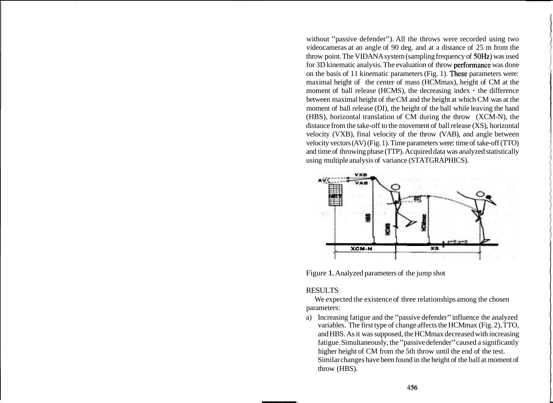without "passive defender"). All the throws were recorded using two videocameras at an angle of 90 deg. and at a distance of 25 m from the throw point. The VIDANA system (sampling frequency of 50Hz) was used for 3D kinematic analysis. The evaluation of throw performance was done on the basis of 11 kinematic parameters (Fig. 1). These parameters were: maximal height of the center of mass (HCMmax), height of CM at the moment of ball release (HCMS), the decreasing index  $\cdot$  the difference between maximal height of the CM and the height at which CM was at the moment of ball release (DI), the height of the ball while leaving the hand (HBS), horizontal translation of CM during the throw (XCM-N), the distance from the take-off to the movement of ball release (XS), horizontal velocity (VXB), final velocity of the throw (VAB), and angle between velocity vectors (AV) (Fig. 1). Time parameters were: time of take-off (TTO) and time of throwing phase (TTP). Acquired data was analyzed statistically using multiple analysis of variance (STATGRAPHICS).



Figure 1. Analyzed parameters of the jump shot

## RESULTS

We expected the existence of three relationships among the chosen parameters:

a) Increasing fatigue and the "passive defender" influence the analyzed variables. The first type of change affects the HCMmax (Fig. 2), TTO, and HBS. As it was supposed, the HCMmax decreased with increasing fatigue. Simultaneously, the "passive defender" caused a significantly higher height of CM from the 5th throw until the end of the test. Similar changes have been found in the height of the ball at moment of throw (HBS).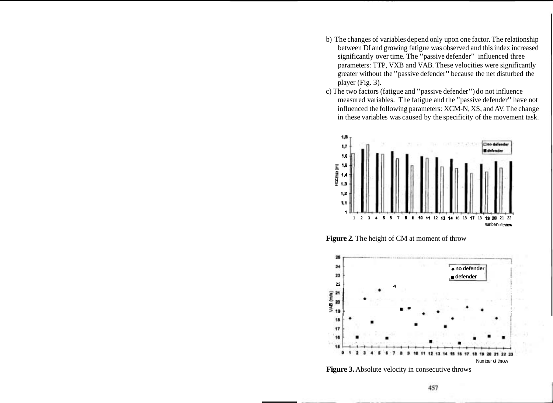- b) The changes of variables depend only upon one factor. The relationship between DI and growing fatigue was observed and this index increased significantly over time. The "passive defender" influenced three parameters: TTP, VXB and VAB. These velocities were significantly greater without the "passive defender" because the net disturbed the player (Fig. 3).
- c) The two factors (fatigue and "passive defender") do not influence measured variables. The fatigue and the "passive defender" have not influenced the following parameters: XCM-N, XS, and AV. The change in these variables was caused by the specificity of the movement task.



Figure 2. The height of CM at moment of throw



**Figure 3.** Absolute velocity in consecutive throws